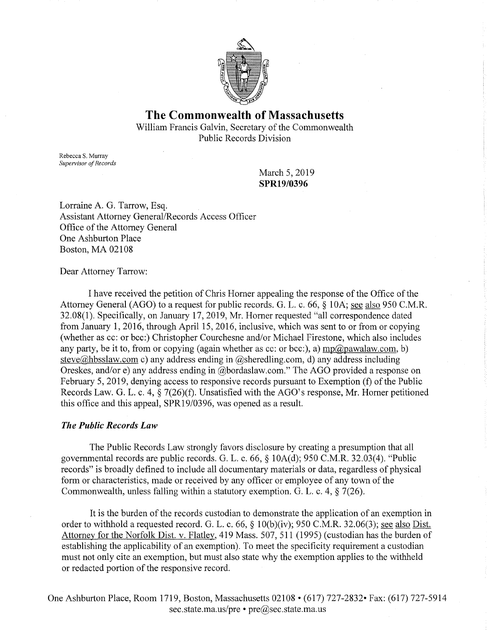

# **The Commonwealth of Massachusetts**

William Francis Galvin, Secretary of the Commonwealth Public Records Division

Rebecca S. Murray *Supervisor of Records* 

> March 5, 2019 **SPR19/0396**

Lorraine A. G. Tarrow, Esq. Assistant Attorney General/Records Access Officer Office of the Attorney General One Ashburton Place Boston, MA 02108

Dear Attorney Tarrow:

I have received the petition of Chris Horner appealing the response of the Office of the Attorney General (AGO) to a request for public records. G. L. c. 66, § 10A; see also 950 C.M.R. 32.08(1). Specifically, on January 17, 2019, Mr. Horner requested "all correspondence dated from January 1, 2016, through April 15, 2016, inclusive, which was sent to or from or copying (whether as cc: or bee:) Christopher Courchesne and/or Michael Firestone, which also includes any party, be it to, from or copying (again whether as cc: or bcc:), a) mp@pawalaw.com, b) steve@hbsslaw.com c) any address ending in @sheredling.com, d) any address including Oreskes, and/ore) any address ending in @bordaslaw.com." The AGO provided a response on February 5, 2019, denying access to responsive records pursuant to Exemption (f) of the Public Records Law. G. L. c. 4, § 7(26)(f). Unsatisfied with the AGO's response, Mr. Horner petitioned this office and this appeal, SPR19/0396, was opened as a result.

## *The Public Records Law*

The Public Records Law strongly favors disclosure by creating a presumption that all governmental records are public records. G. L. c. 66, § lOA(d); 950 C.M.R. 32.03(4). "Public records" is broadly defined to include all documentary materials or data, regardless of physical form or characteristics, made or received by any officer or employee of any town of the Commonwealth, unless falling within a statutory exemption. G. L. c. 4, § 7(26).

It is the burden of the records custodian to demonstrate the application of an exemption in order to withhold a requested record. G. L. c. 66, § 10(b)(iv); 950 C.M.R. 32.06(3); see also Dist. Attorney for the Norfolk Dist. v. Flatley, 419 Mass. 507, 511 (1995) ( custodian has the burden of establishing the applicability of an exemption). To meet the specificity requirement a custodian must not only cite an exemption, but must also state why the exemption applies to the withheld or redacted portion of the responsive record.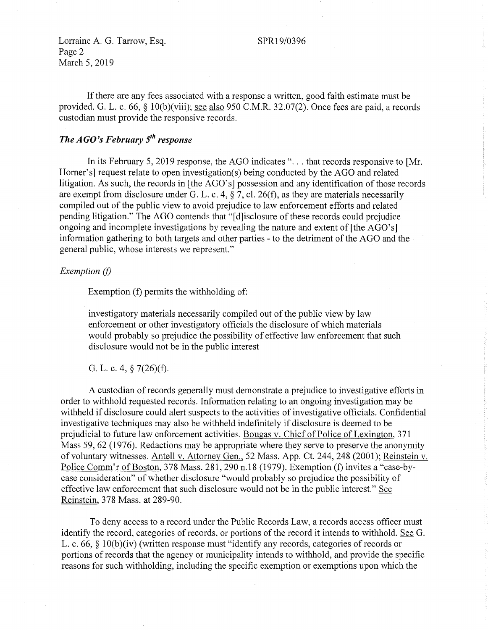## SPR19/0396

Lorraine A. G. Tarrow, Esq. Page 2 March 5, 2019

If there are any fees associated with a response a written, good faith estimate must be provided. G. L. c. 66, § 10(b)(viii); <u>see also</u> 950 C.M.R. 32.07(2). Once fees are paid, a records custodian must provide the responsive records.

# *The AGO's February 5<sup>th</sup> response*

In its February 5, 2019 response, the AGO indicates "... that records responsive to [Mr. Homer's] request relate to open investigation(s) being conducted by the AGO and related litigation. As such, the records in [the AGO's] possession and any identification of those records are exempt from disclosure under G. L. c. 4,  $\S$  7, cl. 26(f), as they are materials necessarily compiled out of the public view to avoid prejudice to law enforcement efforts and related pending litigation." The AGO contends that "[d]isclosure of these records could prejudice ongoing and incomplete investigations by revealing the nature and extent of [the AGO's] information gathering to both targets and other parties - to the detriment of the AGO and the general public, whose interests we represent."

### *Exemption* (f)

Exemption (f) permits the withholding of:

investigatory materials necessarily compiled out of the public view by law enforcement or other investigatory officials the disclosure of which materials would probably so prejudice the possibility of effective law enforcement that such disclosure would not be in the public interest

G. L. C. 4, § 7(26)(f).

A custodian of records generally must demonstrate a prejudice to investigative efforts in order to withhold requested records. Information relating to an ongoing investigation may be withheld if disclosure could alert suspects to the activities of investigative officials. Confidential investigative techniques may also be withheld indefinitely if disclosure is deemed to be prejudicial to future law enforcement activities. Bougas v. Chief of Police of Lexington, 371 Mass 59, 62 (1976). Redactions may be appropriate where they serve to preserve the anonymity of voluntary witnesses. Antell v. Attorney Gen., 52 Mass. App. Ct. 244,248 (2001); Reinstein v. Police Comm'r of Boston, 378 Mass. 281,290 n.18 (1979). Exemption (f) invites a "case-bycase consideration" of whether disclosure "would probably so prejudice the possibility of effective law enforcement that such disclosure would not be in the public interest." See Reinstein, 378 Mass. at 289-90.

To deny access to a record under the Public Records Law, a records access officer must identify the record, categories of records, or portions of the record it intends to withhold. See G. L. c. 66,  $\S$  10(b)(iv) (written response must "identify any records, categories of records or portions of records that the agency or municipality intends to withhold, and provide the specific reasons for such withholding, including the specific exemption or exemptions upon which the